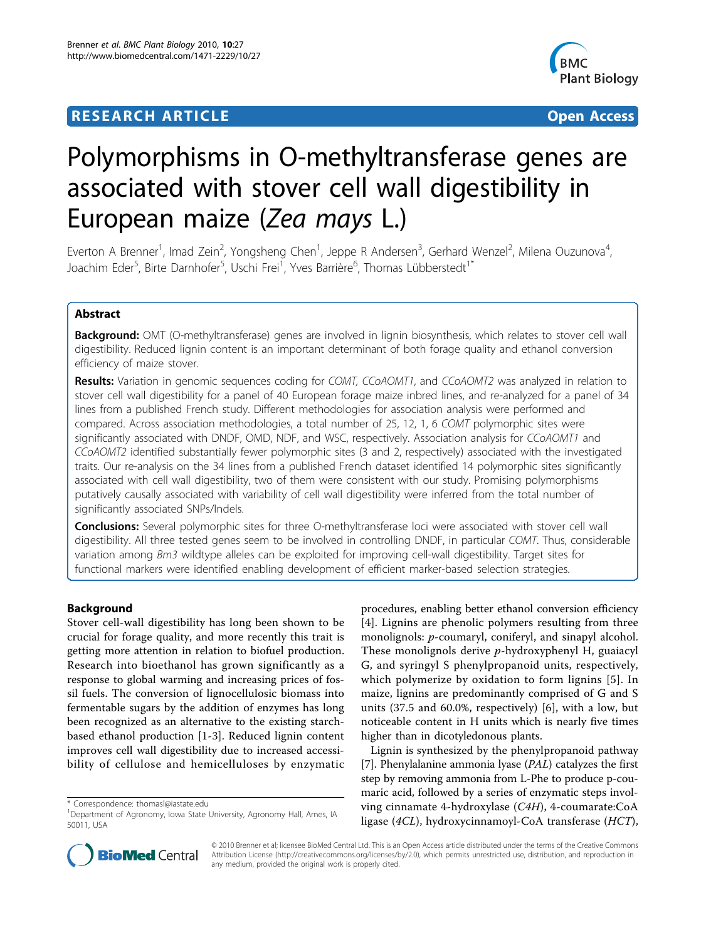## **RESEARCH ARTICLE Example 2018 12:00 Department of the Contract Open Access**



# Polymorphisms in O-methyltransferase genes are associated with stover cell wall digestibility in European maize (Zea mays L.)

Everton A Brenner<sup>1</sup>, Imad Zein<sup>2</sup>, Yongsheng Chen<sup>1</sup>, Jeppe R Andersen<sup>3</sup>, Gerhard Wenzel<sup>2</sup>, Milena Ouzunova<sup>4</sup> , Joachim Eder<sup>5</sup>, Birte Darnhofer<sup>5</sup>, Uschi Frei<sup>1</sup>, Yves Barrière<sup>6</sup>, Thomas Lübberstedt<sup>1\*</sup>

## Abstract

Background: OMT (O-methyltransferase) genes are involved in lignin biosynthesis, which relates to stover cell wall digestibility. Reduced lignin content is an important determinant of both forage quality and ethanol conversion efficiency of maize stover.

Results: Variation in genomic sequences coding for COMT, CCoAOMT1, and CCoAOMT2 was analyzed in relation to stover cell wall digestibility for a panel of 40 European forage maize inbred lines, and re-analyzed for a panel of 34 lines from a published French study. Different methodologies for association analysis were performed and compared. Across association methodologies, a total number of 25, 12, 1, 6 COMT polymorphic sites were significantly associated with DNDF, OMD, NDF, and WSC, respectively. Association analysis for CCoAOMT1 and CCoAOMT2 identified substantially fewer polymorphic sites (3 and 2, respectively) associated with the investigated traits. Our re-analysis on the 34 lines from a published French dataset identified 14 polymorphic sites significantly associated with cell wall digestibility, two of them were consistent with our study. Promising polymorphisms putatively causally associated with variability of cell wall digestibility were inferred from the total number of significantly associated SNPs/Indels.

**Conclusions:** Several polymorphic sites for three O-methyltransferase loci were associated with stover cell wall digestibility. All three tested genes seem to be involved in controlling DNDF, in particular COMT. Thus, considerable variation among Bm3 wildtype alleles can be exploited for improving cell-wall digestibility. Target sites for functional markers were identified enabling development of efficient marker-based selection strategies.

## Background

Stover cell-wall digestibility has long been shown to be crucial for forage quality, and more recently this trait is getting more attention in relation to biofuel production. Research into bioethanol has grown significantly as a response to global warming and increasing prices of fossil fuels. The conversion of lignocellulosic biomass into fermentable sugars by the addition of enzymes has long been recognized as an alternative to the existing starchbased ethanol production [\[1](#page-9-0)-[3\]](#page-9-0). Reduced lignin content improves cell wall digestibility due to increased accessibility of cellulose and hemicelluloses by enzymatic

procedures, enabling better ethanol conversion efficiency [[4](#page-9-0)]. Lignins are phenolic polymers resulting from three monolignols: *p*-coumaryl, coniferyl, and sinapyl alcohol. These monolignols derive  $p$ -hydroxyphenyl H, guaiacyl G, and syringyl S phenylpropanoid units, respectively, which polymerize by oxidation to form lignins [[5](#page-9-0)]. In maize, lignins are predominantly comprised of G and S units (37.5 and 60.0%, respectively) [[6\]](#page-9-0), with a low, but noticeable content in H units which is nearly five times higher than in dicotyledonous plants.

Lignin is synthesized by the phenylpropanoid pathway [[7\]](#page-9-0). Phenylalanine ammonia lyase (PAL) catalyzes the first step by removing ammonia from L-Phe to produce p-coumaric acid, followed by a series of enzymatic steps involving cinnamate 4-hydroxylase (C4H), 4-coumarate:CoA ligase (4CL), hydroxycinnamoyl-CoA transferase (HCT),



© 2010 Brenner et al; licensee BioMed Central Ltd. This is an Open Access article distributed under the terms of the Creative Commons Attribution License [\(http://creativecommons.org/licenses/by/2.0](http://creativecommons.org/licenses/by/2.0)), which permits unrestricted use, distribution, and reproduction in any medium, provided the original work is properly cited.

<sup>\*</sup> Correspondence: [thomasl@iastate.edu](mailto:thomasl@iastate.edu)

<sup>&</sup>lt;sup>1</sup>Department of Agronomy, Iowa State University, Agronomy Hall, Ames, IA 50011, USA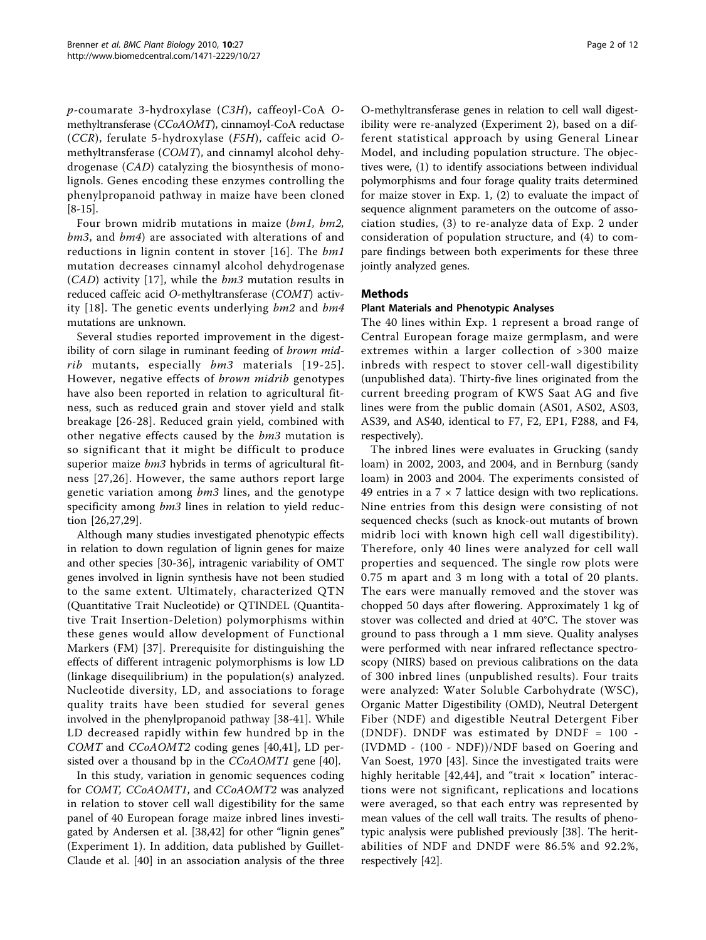p-coumarate 3-hydroxylase (C3H), caffeoyl-CoA Omethyltransferase (CCoAOMT), cinnamoyl-CoA reductase (CCR), ferulate 5-hydroxylase (F5H), caffeic acid Omethyltransferase (COMT), and cinnamyl alcohol dehydrogenase (CAD) catalyzing the biosynthesis of monolignols. Genes encoding these enzymes controlling the phenylpropanoid pathway in maize have been cloned [[8-](#page-9-0)[15\]](#page-10-0).

Four brown midrib mutations in maize (bm1, bm2, bm3, and bm4) are associated with alterations of and reductions in lignin content in stover [[16\]](#page-10-0). The bm1 mutation decreases cinnamyl alcohol dehydrogenase  $(CAD)$  activity [[17](#page-10-0)], while the  $bm3$  mutation results in reduced caffeic acid O-methyltransferase (COMT) activ-ity [[18](#page-10-0)]. The genetic events underlying  $bm2$  and  $bm4$ mutations are unknown.

Several studies reported improvement in the digestibility of corn silage in ruminant feeding of brown midrib mutants, especially bm3 materials [[19-25\]](#page-10-0). However, negative effects of brown midrib genotypes have also been reported in relation to agricultural fitness, such as reduced grain and stover yield and stalk breakage [\[26-28\]](#page-10-0). Reduced grain yield, combined with other negative effects caused by the bm3 mutation is so significant that it might be difficult to produce superior maize  $bm3$  hybrids in terms of agricultural fitness [[27,26\]](#page-10-0). However, the same authors report large genetic variation among bm3 lines, and the genotype specificity among  $bm3$  lines in relation to yield reduction [[26,27,29](#page-10-0)].

Although many studies investigated phenotypic effects in relation to down regulation of lignin genes for maize and other species [[30-36](#page-10-0)], intragenic variability of OMT genes involved in lignin synthesis have not been studied to the same extent. Ultimately, characterized QTN (Quantitative Trait Nucleotide) or QTINDEL (Quantitative Trait Insertion-Deletion) polymorphisms within these genes would allow development of Functional Markers (FM) [[37](#page-10-0)]. Prerequisite for distinguishing the effects of different intragenic polymorphisms is low LD (linkage disequilibrium) in the population(s) analyzed. Nucleotide diversity, LD, and associations to forage quality traits have been studied for several genes involved in the phenylpropanoid pathway [\[38-41](#page-10-0)]. While LD decreased rapidly within few hundred bp in the COMT and CCoAOMT2 coding genes [[40,41](#page-10-0)], LD persisted over a thousand bp in the *CCoAOMT1* gene [\[40](#page-10-0)].

In this study, variation in genomic sequences coding for COMT, CCoAOMT1, and CCoAOMT2 was analyzed in relation to stover cell wall digestibility for the same panel of 40 European forage maize inbred lines investigated by Andersen et al. [[38,42\]](#page-10-0) for other "lignin genes" (Experiment 1). In addition, data published by Guillet-Claude et al. [[40\]](#page-10-0) in an association analysis of the three

O-methyltransferase genes in relation to cell wall digestibility were re-analyzed (Experiment 2), based on a different statistical approach by using General Linear Model, and including population structure. The objectives were, (1) to identify associations between individual polymorphisms and four forage quality traits determined for maize stover in Exp. 1, (2) to evaluate the impact of sequence alignment parameters on the outcome of association studies, (3) to re-analyze data of Exp. 2 under consideration of population structure, and (4) to compare findings between both experiments for these three jointly analyzed genes.

## Methods

## Plant Materials and Phenotypic Analyses

The 40 lines within Exp. 1 represent a broad range of Central European forage maize germplasm, and were extremes within a larger collection of >300 maize inbreds with respect to stover cell-wall digestibility (unpublished data). Thirty-five lines originated from the current breeding program of KWS Saat AG and five lines were from the public domain (AS01, AS02, AS03, AS39, and AS40, identical to F7, F2, EP1, F288, and F4, respectively).

The inbred lines were evaluates in Grucking (sandy loam) in 2002, 2003, and 2004, and in Bernburg (sandy loam) in 2003 and 2004. The experiments consisted of 49 entries in a  $7 \times 7$  lattice design with two replications. Nine entries from this design were consisting of not sequenced checks (such as knock-out mutants of brown midrib loci with known high cell wall digestibility). Therefore, only 40 lines were analyzed for cell wall properties and sequenced. The single row plots were 0.75 m apart and 3 m long with a total of 20 plants. The ears were manually removed and the stover was chopped 50 days after flowering. Approximately 1 kg of stover was collected and dried at 40°C. The stover was ground to pass through a 1 mm sieve. Quality analyses were performed with near infrared reflectance spectroscopy (NIRS) based on previous calibrations on the data of 300 inbred lines (unpublished results). Four traits were analyzed: Water Soluble Carbohydrate (WSC), Organic Matter Digestibility (OMD), Neutral Detergent Fiber (NDF) and digestible Neutral Detergent Fiber (DNDF). DNDF was estimated by DNDF = 100 - (IVDMD - (100 - NDF))/NDF based on Goering and Van Soest, 1970 [[43\]](#page-10-0). Since the investigated traits were highly heritable [\[42,44](#page-10-0)], and "trait  $\times$  location" interactions were not significant, replications and locations were averaged, so that each entry was represented by mean values of the cell wall traits. The results of phenotypic analysis were published previously [\[38](#page-10-0)]. The heritabilities of NDF and DNDF were 86.5% and 92.2%, respectively [\[42](#page-10-0)].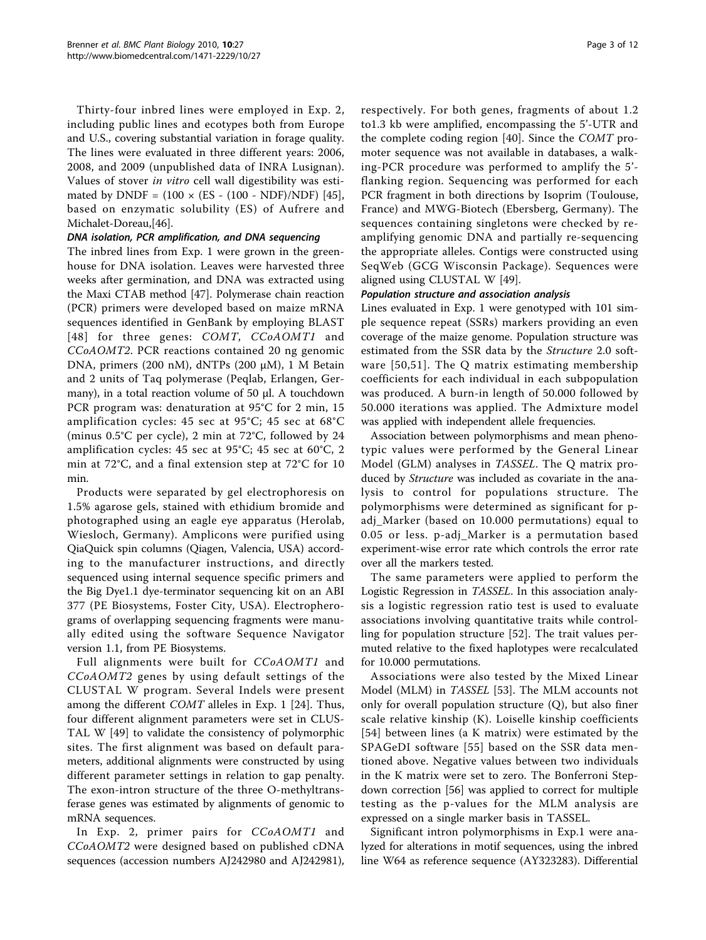Thirty-four inbred lines were employed in Exp. 2, including public lines and ecotypes both from Europe and U.S., covering substantial variation in forage quality. The lines were evaluated in three different years: 2006, 2008, and 2009 (unpublished data of INRA Lusignan). Values of stover in vitro cell wall digestibility was estimated by DNDF =  $(100 \times (ES - (100 - NDF)/NDF)$  [\[45](#page-10-0)], based on enzymatic solubility (ES) of Aufrere and Michalet-Doreau,[\[46\]](#page-10-0).

## DNA isolation, PCR amplification, and DNA sequencing

The inbred lines from Exp. 1 were grown in the greenhouse for DNA isolation. Leaves were harvested three weeks after germination, and DNA was extracted using the Maxi CTAB method [[47\]](#page-10-0). Polymerase chain reaction (PCR) primers were developed based on maize mRNA sequences identified in GenBank by employing BLAST [[48](#page-10-0)] for three genes: COMT, CCoAOMT1 and CCoAOMT2. PCR reactions contained 20 ng genomic DNA, primers (200 nM), dNTPs (200 μM), 1 M Betain and 2 units of Taq polymerase (Peqlab, Erlangen, Germany), in a total reaction volume of 50 μl. A touchdown PCR program was: denaturation at 95°C for 2 min, 15 amplification cycles: 45 sec at 95°C; 45 sec at 68°C (minus 0.5°C per cycle), 2 min at 72°C, followed by 24 amplification cycles: 45 sec at 95°C; 45 sec at 60°C, 2 min at 72°C, and a final extension step at 72°C for 10 min.

Products were separated by gel electrophoresis on 1.5% agarose gels, stained with ethidium bromide and photographed using an eagle eye apparatus (Herolab, Wiesloch, Germany). Amplicons were purified using QiaQuick spin columns (Qiagen, Valencia, USA) according to the manufacturer instructions, and directly sequenced using internal sequence specific primers and the Big Dye1.1 dye-terminator sequencing kit on an ABI 377 (PE Biosystems, Foster City, USA). Electropherograms of overlapping sequencing fragments were manually edited using the software Sequence Navigator version 1.1, from PE Biosystems.

Full alignments were built for CCoAOMT1 and CCoAOMT2 genes by using default settings of the CLUSTAL W program. Several Indels were present among the different COMT alleles in Exp. 1 [\[24](#page-10-0)]. Thus, four different alignment parameters were set in CLUS-TAL W [[49\]](#page-10-0) to validate the consistency of polymorphic sites. The first alignment was based on default parameters, additional alignments were constructed by using different parameter settings in relation to gap penalty. The exon-intron structure of the three O-methyltransferase genes was estimated by alignments of genomic to mRNA sequences.

In Exp. 2, primer pairs for CCoAOMT1 and CCoAOMT2 were designed based on published cDNA sequences (accession numbers AJ242980 and AJ242981), respectively. For both genes, fragments of about 1.2 to1.3 kb were amplified, encompassing the 5'-UTR and the complete coding region [[40](#page-10-0)]. Since the COMT promoter sequence was not available in databases, a walking-PCR procedure was performed to amplify the 5' flanking region. Sequencing was performed for each PCR fragment in both directions by Isoprim (Toulouse, France) and MWG-Biotech (Ebersberg, Germany). The sequences containing singletons were checked by reamplifying genomic DNA and partially re-sequencing the appropriate alleles. Contigs were constructed using SeqWeb (GCG Wisconsin Package). Sequences were aligned using CLUSTAL W [[49](#page-10-0)].

#### Population structure and association analysis

Lines evaluated in Exp. 1 were genotyped with 101 simple sequence repeat (SSRs) markers providing an even coverage of the maize genome. Population structure was estimated from the SSR data by the Structure 2.0 software [[50,51](#page-10-0)]. The Q matrix estimating membership coefficients for each individual in each subpopulation was produced. A burn-in length of 50.000 followed by 50.000 iterations was applied. The Admixture model was applied with independent allele frequencies.

Association between polymorphisms and mean phenotypic values were performed by the General Linear Model (GLM) analyses in TASSEL. The Q matrix produced by *Structure* was included as covariate in the analysis to control for populations structure. The polymorphisms were determined as significant for padj\_Marker (based on 10.000 permutations) equal to 0.05 or less. p-adj\_Marker is a permutation based experiment-wise error rate which controls the error rate over all the markers tested.

The same parameters were applied to perform the Logistic Regression in TASSEL. In this association analysis a logistic regression ratio test is used to evaluate associations involving quantitative traits while controlling for population structure [\[52](#page-10-0)]. The trait values permuted relative to the fixed haplotypes were recalculated for 10.000 permutations.

Associations were also tested by the Mixed Linear Model (MLM) in TASSEL [[53\]](#page-10-0). The MLM accounts not only for overall population structure (Q), but also finer scale relative kinship (K). Loiselle kinship coefficients [[54](#page-10-0)] between lines (a K matrix) were estimated by the SPAGeDI software [[55](#page-10-0)] based on the SSR data mentioned above. Negative values between two individuals in the K matrix were set to zero. The Bonferroni Stepdown correction [[56\]](#page-10-0) was applied to correct for multiple testing as the p-values for the MLM analysis are expressed on a single marker basis in TASSEL.

Significant intron polymorphisms in Exp.1 were analyzed for alterations in motif sequences, using the inbred line W64 as reference sequence (AY323283). Differential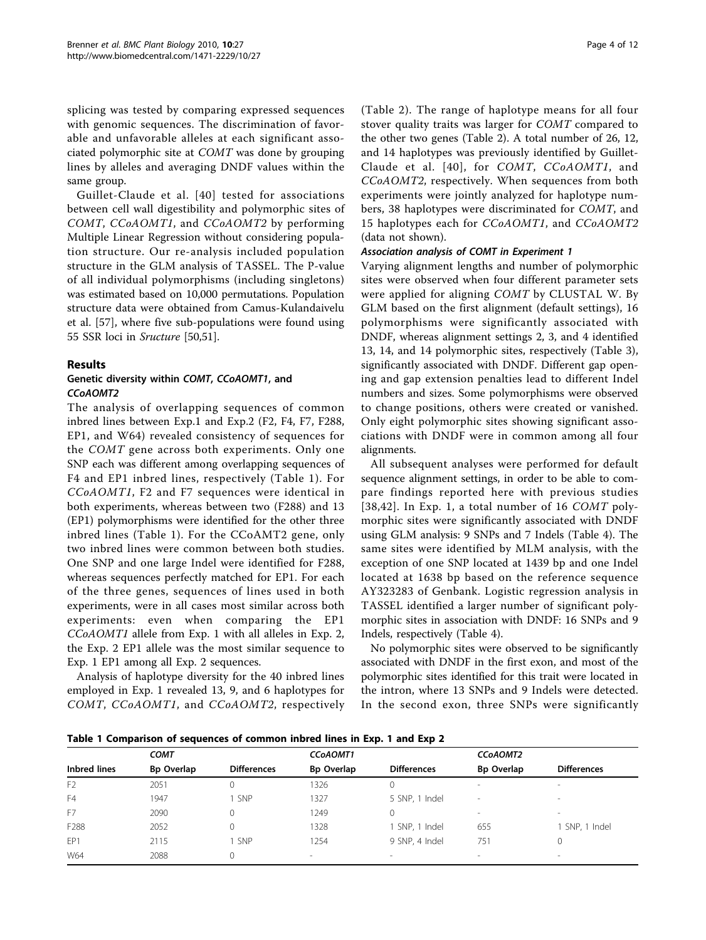<span id="page-3-0"></span>splicing was tested by comparing expressed sequences with genomic sequences. The discrimination of favorable and unfavorable alleles at each significant associated polymorphic site at COMT was done by grouping lines by alleles and averaging DNDF values within the same group.

Guillet-Claude et al. [[40\]](#page-10-0) tested for associations between cell wall digestibility and polymorphic sites of COMT, CCoAOMT1, and CCoAOMT2 by performing Multiple Linear Regression without considering population structure. Our re-analysis included population structure in the GLM analysis of TASSEL. The P-value of all individual polymorphisms (including singletons) was estimated based on 10,000 permutations. Population structure data were obtained from Camus-Kulandaivelu et al. [[57](#page-11-0)], where five sub-populations were found using 55 SSR loci in Sructure [\[50,51](#page-10-0)].

#### Results

## Genetic diversity within COMT, CCoAOMT1, and CCoAOMT2

The analysis of overlapping sequences of common inbred lines between Exp.1 and Exp.2 (F2, F4, F7, F288, EP1, and W64) revealed consistency of sequences for the COMT gene across both experiments. Only one SNP each was different among overlapping sequences of F4 and EP1 inbred lines, respectively (Table 1). For CCoAOMT1, F2 and F7 sequences were identical in both experiments, whereas between two (F288) and 13 (EP1) polymorphisms were identified for the other three inbred lines (Table 1). For the CCoAMT2 gene, only two inbred lines were common between both studies. One SNP and one large Indel were identified for F288, whereas sequences perfectly matched for EP1. For each of the three genes, sequences of lines used in both experiments, were in all cases most similar across both experiments: even when comparing the EP1 CCoAOMT1 allele from Exp. 1 with all alleles in Exp. 2, the Exp. 2 EP1 allele was the most similar sequence to Exp. 1 EP1 among all Exp. 2 sequences.

Analysis of haplotype diversity for the 40 inbred lines employed in Exp. 1 revealed 13, 9, and 6 haplotypes for COMT, CCoAOMT1, and CCoAOMT2, respectively (Table [2\)](#page-4-0). The range of haplotype means for all four stover quality traits was larger for COMT compared to the other two genes (Table [2](#page-4-0)). A total number of 26, 12, and 14 haplotypes was previously identified by Guillet-Claude et al. [[40\]](#page-10-0), for COMT, CCoAOMT1, and CCoAOMT2, respectively. When sequences from both experiments were jointly analyzed for haplotype numbers, 38 haplotypes were discriminated for COMT, and 15 haplotypes each for CCoAOMT1, and CCoAOMT2 (data not shown).

## Association analysis of COMT in Experiment 1

Varying alignment lengths and number of polymorphic sites were observed when four different parameter sets were applied for aligning COMT by CLUSTAL W. By GLM based on the first alignment (default settings), 16 polymorphisms were significantly associated with DNDF, whereas alignment settings 2, 3, and 4 identified 13, 14, and 14 polymorphic sites, respectively (Table [3](#page-4-0)), significantly associated with DNDF. Different gap opening and gap extension penalties lead to different Indel numbers and sizes. Some polymorphisms were observed to change positions, others were created or vanished. Only eight polymorphic sites showing significant associations with DNDF were in common among all four alignments.

All subsequent analyses were performed for default sequence alignment settings, in order to be able to compare findings reported here with previous studies [[38,42](#page-10-0)]. In Exp. 1, a total number of 16 COMT polymorphic sites were significantly associated with DNDF using GLM analysis: 9 SNPs and 7 Indels (Table [4\)](#page-5-0). The same sites were identified by MLM analysis, with the exception of one SNP located at 1439 bp and one Indel located at 1638 bp based on the reference sequence AY323283 of Genbank. Logistic regression analysis in TASSEL identified a larger number of significant polymorphic sites in association with DNDF: 16 SNPs and 9 Indels, respectively (Table [4](#page-5-0)).

No polymorphic sites were observed to be significantly associated with DNDF in the first exon, and most of the polymorphic sites identified for this trait were located in the intron, where 13 SNPs and 9 Indels were detected. In the second exon, three SNPs were significantly

Table 1 Comparison of sequences of common inbred lines in Exp. 1 and Exp 2

|                 | <b>COMT</b>       |                    | <b>CCOAOMT1</b>          |                          | CCoAOMT2                 |                          |
|-----------------|-------------------|--------------------|--------------------------|--------------------------|--------------------------|--------------------------|
| Inbred lines    | <b>Bp Overlap</b> | <b>Differences</b> | Bp Overlap               | <b>Differences</b>       | <b>Bp Overlap</b>        | <b>Differences</b>       |
| F <sub>2</sub>  | 2051              |                    | 1326                     |                          |                          | $\overline{\phantom{a}}$ |
| F <sub>4</sub>  | 1947              | <b>SNP</b>         | 1327                     | 5 SNP, 1 Indel           | $\overline{\phantom{a}}$ | $\overline{\phantom{a}}$ |
| F7              | 2090              |                    | 1249                     | 0                        | $\sim$                   | $\sim$                   |
| F288            | 2052              |                    | 1328                     | SNP, 1 Indel             | 655                      | 1 SNP, 1 Indel           |
| FP <sub>1</sub> | 2115              | SNP                | 1254                     | 9 SNP, 4 Indel           | 751                      | 0                        |
| W64             | 2088              |                    | $\overline{\phantom{a}}$ | $\overline{\phantom{a}}$ | $\sim$                   | $\overline{\phantom{a}}$ |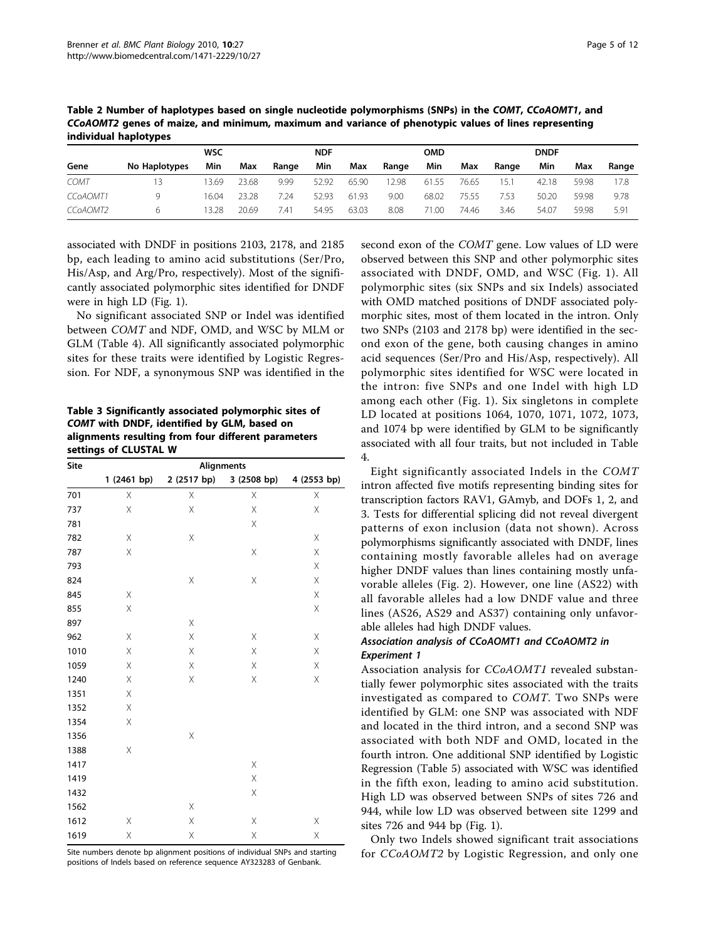<span id="page-4-0"></span>Table 2 Number of haplotypes based on single nucleotide polymorphisms (SNPs) in the COMT, CCoAOMT1, and CCoAOMT2 genes of maize, and minimum, maximum and variance of phenotypic values of lines representing individual haplotypes

|             | <b>WSC</b>    |       |       | <b>NDF</b> |       | <b>OMD</b> |       |       | <b>DNDF</b> |       |       |       |       |
|-------------|---------------|-------|-------|------------|-------|------------|-------|-------|-------------|-------|-------|-------|-------|
| Gene        | No Haplotypes | Min   | Max   | Range      | Min   | Max        | Range | Min   | Max         | Range | Min   | Max   | Range |
| <b>COMT</b> | 13            | 13.69 | 23.68 | 9.99       | 52.92 | 65.90      | 2.98  | 61.55 | 76.65       | 15.7  | 42.18 | 59.98 | 17.8  |
| CCoAOMT1    | Q             | 16.04 | 23.28 | 7.24       | 52.93 | 61.93      | 9.00  | 68.02 | 75.55       | 7.53  | 50.20 | 59.98 | 9.78  |
| CCoAOMT2    | h             | 13.28 | 20.69 | 7.41       | 54.95 | 63.03      | 8.08  | 71.00 | 74.46       | 3.46  | 54.07 | 59.98 | 5.91  |

associated with DNDF in positions 2103, 2178, and 2185 bp, each leading to amino acid substitutions (Ser/Pro, His/Asp, and Arg/Pro, respectively). Most of the significantly associated polymorphic sites identified for DNDF were in high LD (Fig. [1\)](#page-5-0).

No significant associated SNP or Indel was identified between COMT and NDF, OMD, and WSC by MLM or GLM (Table [4\)](#page-5-0). All significantly associated polymorphic sites for these traits were identified by Logistic Regression. For NDF, a synonymous SNP was identified in the

Table 3 Significantly associated polymorphic sites of COMT with DNDF, identified by GLM, based on alignments resulting from four different parameters settings of CLUSTAL W

| Site | <b>Alignments</b> |             |             |             |  |  |  |  |  |  |
|------|-------------------|-------------|-------------|-------------|--|--|--|--|--|--|
|      | 1 (2461 bp)       | 2 (2517 bp) | 3 (2508 bp) | 4 (2553 bp) |  |  |  |  |  |  |
| 701  | X                 | Χ           | X           | Χ           |  |  |  |  |  |  |
| 737  | Χ                 | X           | X           | Χ           |  |  |  |  |  |  |
| 781  |                   |             | Χ           |             |  |  |  |  |  |  |
| 782  | Χ                 | X           |             | Χ           |  |  |  |  |  |  |
| 787  | Χ                 |             | Χ           | Χ           |  |  |  |  |  |  |
| 793  |                   |             |             | Χ           |  |  |  |  |  |  |
| 824  |                   | Χ           | Χ           | Χ           |  |  |  |  |  |  |
| 845  | X                 |             |             | Χ           |  |  |  |  |  |  |
| 855  | Χ                 |             |             | Χ           |  |  |  |  |  |  |
| 897  |                   | X           |             |             |  |  |  |  |  |  |
| 962  | Χ                 | X           | Χ           | Χ           |  |  |  |  |  |  |
| 1010 | Χ                 | Χ           | Χ           | Χ           |  |  |  |  |  |  |
| 1059 | Χ                 | $\mathsf X$ | Χ           | Χ           |  |  |  |  |  |  |
| 1240 | Χ                 | Χ           | Χ           | Χ           |  |  |  |  |  |  |
| 1351 | X                 |             |             |             |  |  |  |  |  |  |
| 1352 | X                 |             |             |             |  |  |  |  |  |  |
| 1354 | Χ                 |             |             |             |  |  |  |  |  |  |
| 1356 |                   | Χ           |             |             |  |  |  |  |  |  |
| 1388 | Χ                 |             |             |             |  |  |  |  |  |  |
| 1417 |                   |             | Χ           |             |  |  |  |  |  |  |
| 1419 |                   |             | Χ           |             |  |  |  |  |  |  |
| 1432 |                   |             | $\mathsf X$ |             |  |  |  |  |  |  |
| 1562 |                   | X           |             |             |  |  |  |  |  |  |
| 1612 | Χ                 | $\mathsf X$ | Χ           | Χ           |  |  |  |  |  |  |
| 1619 | Χ                 | Χ           | Χ           | Χ           |  |  |  |  |  |  |

Site numbers denote bp alignment positions of individual SNPs and starting positions of Indels based on reference sequence AY323283 of Genbank.

second exon of the COMT gene. Low values of LD were observed between this SNP and other polymorphic sites associated with DNDF, OMD, and WSC (Fig. [1](#page-5-0)). All polymorphic sites (six SNPs and six Indels) associated with OMD matched positions of DNDF associated polymorphic sites, most of them located in the intron. Only two SNPs (2103 and 2178 bp) were identified in the second exon of the gene, both causing changes in amino acid sequences (Ser/Pro and His/Asp, respectively). All polymorphic sites identified for WSC were located in the intron: five SNPs and one Indel with high LD among each other (Fig. [1](#page-5-0)). Six singletons in complete LD located at positions 1064, 1070, 1071, 1072, 1073, and 1074 bp were identified by GLM to be significantly associated with all four traits, but not included in Table [4.](#page-5-0)

Eight significantly associated Indels in the COMT intron affected five motifs representing binding sites for transcription factors RAV1, GAmyb, and DOFs 1, 2, and 3. Tests for differential splicing did not reveal divergent patterns of exon inclusion (data not shown). Across polymorphisms significantly associated with DNDF, lines containing mostly favorable alleles had on average higher DNDF values than lines containing mostly unfavorable alleles (Fig. [2](#page-6-0)). However, one line (AS22) with all favorable alleles had a low DNDF value and three lines (AS26, AS29 and AS37) containing only unfavorable alleles had high DNDF values.

## Association analysis of CCoAOMT1 and CCoAOMT2 in Experiment 1

Association analysis for CCoAOMT1 revealed substantially fewer polymorphic sites associated with the traits investigated as compared to COMT. Two SNPs were identified by GLM: one SNP was associated with NDF and located in the third intron, and a second SNP was associated with both NDF and OMD, located in the fourth intron. One additional SNP identified by Logistic Regression (Table [5\)](#page-7-0) associated with WSC was identified in the fifth exon, leading to amino acid substitution. High LD was observed between SNPs of sites 726 and 944, while low LD was observed between site 1299 and sites 726 and 944 bp (Fig. [1\)](#page-5-0).

Only two Indels showed significant trait associations for CCoAOMT2 by Logistic Regression, and only one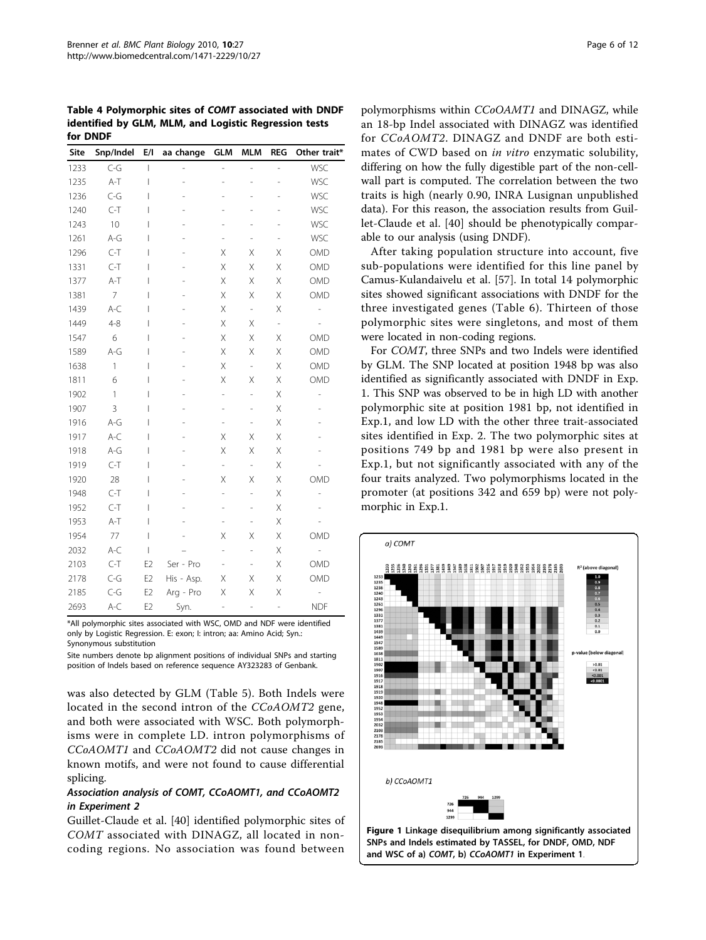<span id="page-5-0"></span>Table 4 Polymorphic sites of COMT associated with DNDF identified by GLM, MLM, and Logistic Regression tests for DNDF

| Site | Snp/Indel    | E/I            | aa change      | <b>GLM</b>               | <b>MLM</b>               | <b>REG</b>     | Other trait*             |
|------|--------------|----------------|----------------|--------------------------|--------------------------|----------------|--------------------------|
| 1233 | $C-G$        | I              | $\overline{a}$ | L,                       | $\overline{a}$           | $\overline{a}$ | WSC                      |
| 1235 | $A-T$        | I              | L              | L,                       | L,                       | L,             | WSC                      |
| 1236 | $C - G$      | I              |                |                          |                          |                | WSC                      |
| 1240 | $C-T$        | I              |                |                          |                          |                | WSC                      |
| 1243 | 10           | I              |                |                          |                          | ÷,             | WSC                      |
| 1261 | $A-G$        | I              |                |                          | $\overline{a}$           | $\overline{a}$ | WSC                      |
| 1296 | $C-T$        | I              |                | Χ                        | Χ                        | Χ              | OMD                      |
| 1331 | $C-T$        | I              |                | Χ                        | Χ                        | Χ              | OMD                      |
| 1377 | $A-T$        | I              |                | Χ                        | Χ                        | Χ              | OMD                      |
| 1381 | 7            | I              |                | Χ                        | Χ                        | Χ              | OMD                      |
| 1439 | $A-C$        | I              |                | Χ                        | $\overline{\phantom{0}}$ | Χ              | $\overline{\phantom{0}}$ |
| 1449 | $4 - 8$      | I              |                | Χ                        | Χ                        | $\overline{a}$ |                          |
| 1547 | 6            | I              |                | Χ                        | Χ                        | Χ              | OMD                      |
| 1589 | $A-G$        | I              |                | Χ                        | Χ                        | Χ              | OMD                      |
| 1638 | $\mathbf{1}$ | I              |                | Χ                        | $\overline{\phantom{a}}$ | Χ              | OMD                      |
| 1811 | 6            | I              |                | Χ                        | Χ                        | Χ              | OMD                      |
| 1902 | 1            | I              |                | $\overline{\phantom{0}}$ | $\overline{\phantom{0}}$ | Χ              | $\overline{a}$           |
| 1907 | 3            | I              |                | -                        | $\overline{\phantom{0}}$ | Χ              |                          |
| 1916 | $A-G$        | I              |                | $\overline{\phantom{0}}$ | $\overline{\phantom{0}}$ | X              |                          |
| 1917 | $A-C$        | I              |                | X                        | X                        | X              |                          |
| 1918 | $A-G$        | I              |                | X                        | X                        | X              |                          |
| 1919 | $C-T$        | I              |                | -                        | -                        | X              |                          |
| 1920 | 28           | I              |                | X                        | Χ                        | X              | OMD                      |
| 1948 | $C-T$        | I              |                | ÷,                       | $\overline{a}$           | X              | i,                       |
| 1952 | $C-T$        | I              |                | $\overline{\phantom{0}}$ | $\overline{a}$           | X              |                          |
| 1953 | $A-T$        | I              |                | $\overline{\phantom{0}}$ | $\overline{a}$           | X              |                          |
| 1954 | 77           | I              |                | Χ                        | Χ                        | Χ              | OMD                      |
| 2032 | $A-C$        | I              |                | L,                       | L,                       | Χ              |                          |
| 2103 | $C-T$        | E <sub>2</sub> | Ser - Pro      | $\overline{\phantom{0}}$ | $\overline{\phantom{0}}$ | Χ              | OMD                      |
| 2178 | $C-G$        | E <sub>2</sub> | His - Asp.     | Χ                        | Χ                        | Χ              | OMD                      |
| 2185 | $C-G$        | E <sub>2</sub> | Arg - Pro      | Χ                        | Χ                        | Χ              |                          |
| 2693 | $A-C$        | E <sub>2</sub> | Syn.           | L,                       | $\overline{\phantom{0}}$ | $\overline{a}$ | <b>NDF</b>               |

\*All polymorphic sites associated with WSC, OMD and NDF were identified only by Logistic Regression. E: exon; I: intron; aa: Amino Acid; Syn.: Synonymous substitution

Site numbers denote bp alignment positions of individual SNPs and starting position of Indels based on reference sequence AY323283 of Genbank.

was also detected by GLM (Table [5](#page-7-0)). Both Indels were located in the second intron of the CCoAOMT2 gene, and both were associated with WSC. Both polymorphisms were in complete LD. intron polymorphisms of CCoAOMT1 and CCoAOMT2 did not cause changes in known motifs, and were not found to cause differential splicing.

## Association analysis of COMT, CCoAOMT1, and CCoAOMT2 in Experiment 2

Guillet-Claude et al. [\[40](#page-10-0)] identified polymorphic sites of COMT associated with DINAGZ, all located in noncoding regions. No association was found between

polymorphisms within CCoOAMT1 and DINAGZ, while an 18-bp Indel associated with DINAGZ was identified for CCoAOMT2. DINAGZ and DNDF are both estimates of CWD based on in vitro enzymatic solubility, differing on how the fully digestible part of the non-cellwall part is computed. The correlation between the two traits is high (nearly 0.90, INRA Lusignan unpublished data). For this reason, the association results from Guillet-Claude et al. [[40\]](#page-10-0) should be phenotypically comparable to our analysis (using DNDF).

After taking population structure into account, five sub-populations were identified for this line panel by Camus-Kulandaivelu et al. [[57](#page-11-0)]. In total 14 polymorphic sites showed significant associations with DNDF for the three investigated genes (Table [6\)](#page-7-0). Thirteen of those polymorphic sites were singletons, and most of them were located in non-coding regions.

For COMT, three SNPs and two Indels were identified by GLM. The SNP located at position 1948 bp was also identified as significantly associated with DNDF in Exp. 1. This SNP was observed to be in high LD with another polymorphic site at position 1981 bp, not identified in Exp.1, and low LD with the other three trait-associated sites identified in Exp. 2. The two polymorphic sites at positions 749 bp and 1981 bp were also present in Exp.1, but not significantly associated with any of the four traits analyzed. Two polymorphisms located in the promoter (at positions 342 and 659 bp) were not polymorphic in Exp.1.

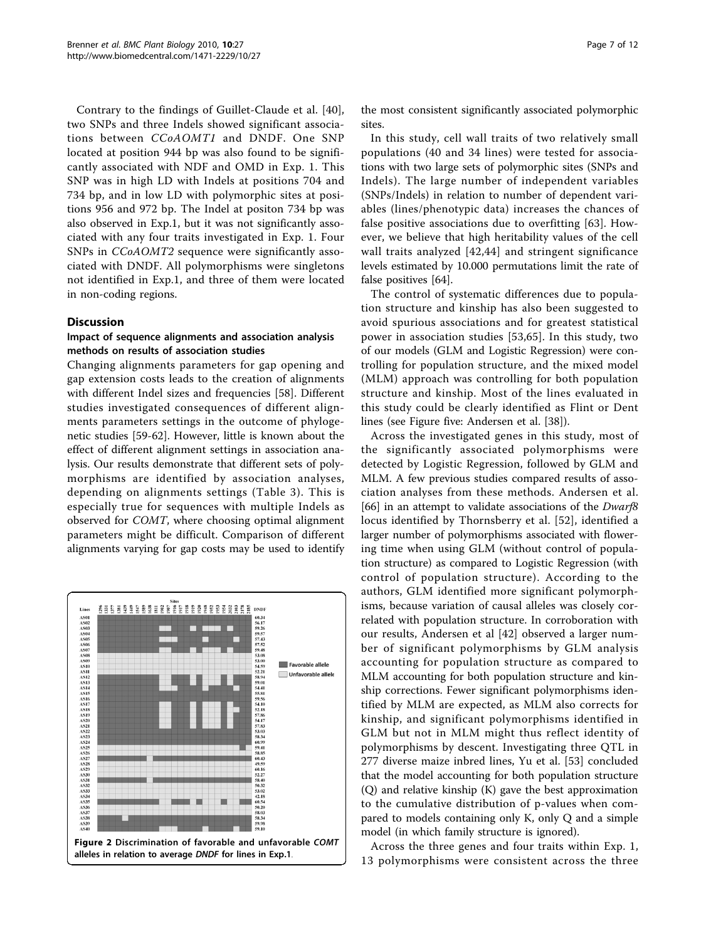<span id="page-6-0"></span>Contrary to the findings of Guillet-Claude et al. [[40](#page-10-0)], two SNPs and three Indels showed significant associations between CCoAOMT1 and DNDF. One SNP located at position 944 bp was also found to be significantly associated with NDF and OMD in Exp. 1. This SNP was in high LD with Indels at positions 704 and 734 bp, and in low LD with polymorphic sites at positions 956 and 972 bp. The Indel at positon 734 bp was also observed in Exp.1, but it was not significantly associated with any four traits investigated in Exp. 1. Four SNPs in CCoAOMT2 sequence were significantly associated with DNDF. All polymorphisms were singletons not identified in Exp.1, and three of them were located in non-coding regions.

#### **Discussion**

## Impact of sequence alignments and association analysis methods on results of association studies

Changing alignments parameters for gap opening and gap extension costs leads to the creation of alignments with different Indel sizes and frequencies [\[58\]](#page-11-0). Different studies investigated consequences of different alignments parameters settings in the outcome of phylogenetic studies [[59-62](#page-11-0)]. However, little is known about the effect of different alignment settings in association analysis. Our results demonstrate that different sets of polymorphisms are identified by association analyses, depending on alignments settings (Table [3](#page-4-0)). This is especially true for sequences with multiple Indels as observed for COMT, where choosing optimal alignment parameters might be difficult. Comparison of different alignments varying for gap costs may be used to identify



the most consistent significantly associated polymorphic sites.

In this study, cell wall traits of two relatively small populations (40 and 34 lines) were tested for associations with two large sets of polymorphic sites (SNPs and Indels). The large number of independent variables (SNPs/Indels) in relation to number of dependent variables (lines/phenotypic data) increases the chances of false positive associations due to overfitting [\[63](#page-11-0)]. However, we believe that high heritability values of the cell wall traits analyzed [[42](#page-10-0),[44](#page-10-0)] and stringent significance levels estimated by 10.000 permutations limit the rate of false positives [\[64\]](#page-11-0).

The control of systematic differences due to population structure and kinship has also been suggested to avoid spurious associations and for greatest statistical power in association studies [[53,](#page-10-0)[65](#page-11-0)]. In this study, two of our models (GLM and Logistic Regression) were controlling for population structure, and the mixed model (MLM) approach was controlling for both population structure and kinship. Most of the lines evaluated in this study could be clearly identified as Flint or Dent lines (see Figure five: Andersen et al. [[38](#page-10-0)]).

Across the investigated genes in this study, most of the significantly associated polymorphisms were detected by Logistic Regression, followed by GLM and MLM. A few previous studies compared results of association analyses from these methods. Andersen et al. [[66\]](#page-11-0) in an attempt to validate associations of the *Dwarf8* locus identified by Thornsberry et al. [\[52](#page-10-0)], identified a larger number of polymorphisms associated with flowering time when using GLM (without control of population structure) as compared to Logistic Regression (with control of population structure). According to the authors, GLM identified more significant polymorphisms, because variation of causal alleles was closely correlated with population structure. In corroboration with our results, Andersen et al [[42\]](#page-10-0) observed a larger number of significant polymorphisms by GLM analysis accounting for population structure as compared to MLM accounting for both population structure and kinship corrections. Fewer significant polymorphisms identified by MLM are expected, as MLM also corrects for kinship, and significant polymorphisms identified in GLM but not in MLM might thus reflect identity of polymorphisms by descent. Investigating three QTL in 277 diverse maize inbred lines, Yu et al. [[53](#page-10-0)] concluded that the model accounting for both population structure (Q) and relative kinship (K) gave the best approximation to the cumulative distribution of p-values when compared to models containing only K, only Q and a simple model (in which family structure is ignored).

Across the three genes and four traits within Exp. 1, 13 polymorphisms were consistent across the three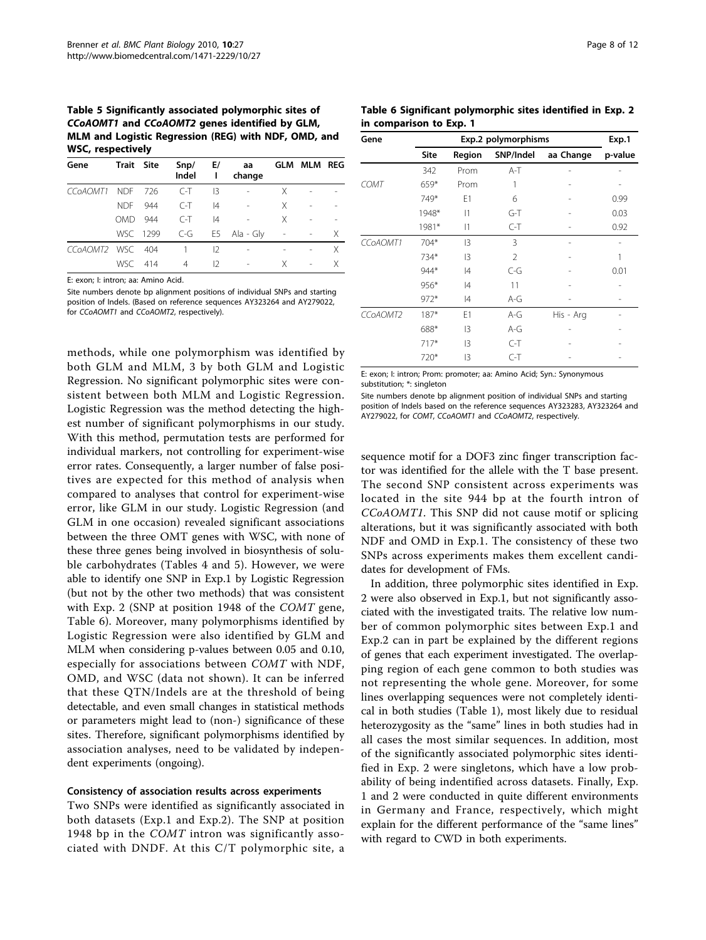<span id="page-7-0"></span>Table 5 Significantly associated polymorphic sites of CCoAOMT1 and CCoAOMT2 genes identified by GLM, MLM and Logistic Regression (REG) with NDF, OMD, and WSC, respectively

| Gene                  | Trait Site |     | $S$ np/<br>Indel | E/<br>ı | aa<br>change              |                          | <b>GLM MLM REG</b> |   |
|-----------------------|------------|-----|------------------|---------|---------------------------|--------------------------|--------------------|---|
| CC <sub>O</sub> AOMT1 | NDF 726    |     | $C-T$            | 13      | $\overline{\phantom{m}}$  | X                        |                    |   |
|                       | NDF 944    |     | $C-T$            | 4       | $\overline{\phantom{a}}$  | X                        |                    |   |
|                       | OMD.       | 944 | $C-T$            | 4       |                           | X                        |                    |   |
|                       |            |     |                  |         | WSC 1299 C-G E5 Ala - Gly | $\overline{\phantom{a}}$ |                    | X |
| CCoAOMT2 WSC 404      |            |     | 1                | 12      |                           |                          |                    | X |
|                       | WSC 414    |     | 4                | 12      | $\overline{\phantom{a}}$  | Χ                        |                    | Χ |

E: exon; I: intron; aa: Amino Acid.

Site numbers denote bp alignment positions of individual SNPs and starting position of Indels. (Based on reference sequences AY323264 and AY279022, for CCoAOMT1 and CCoAOMT2, respectively).

methods, while one polymorphism was identified by both GLM and MLM, 3 by both GLM and Logistic Regression. No significant polymorphic sites were consistent between both MLM and Logistic Regression. Logistic Regression was the method detecting the highest number of significant polymorphisms in our study. With this method, permutation tests are performed for individual markers, not controlling for experiment-wise error rates. Consequently, a larger number of false positives are expected for this method of analysis when compared to analyses that control for experiment-wise error, like GLM in our study. Logistic Regression (and GLM in one occasion) revealed significant associations between the three OMT genes with WSC, with none of these three genes being involved in biosynthesis of soluble carbohydrates (Tables [4](#page-5-0) and 5). However, we were able to identify one SNP in Exp.1 by Logistic Regression (but not by the other two methods) that was consistent with Exp. 2 (SNP at position 1948 of the COMT gene, Table 6). Moreover, many polymorphisms identified by Logistic Regression were also identified by GLM and MLM when considering p-values between 0.05 and 0.10, especially for associations between COMT with NDF, OMD, and WSC (data not shown). It can be inferred that these QTN/Indels are at the threshold of being detectable, and even small changes in statistical methods or parameters might lead to (non-) significance of these sites. Therefore, significant polymorphisms identified by association analyses, need to be validated by independent experiments (ongoing).

#### Consistency of association results across experiments

Two SNPs were identified as significantly associated in both datasets (Exp.1 and Exp.2). The SNP at position 1948 bp in the COMT intron was significantly associated with DNDF. At this C/T polymorphic site, a

| Table 6 Significant polymorphic sites identified in Exp. 2 |  |
|------------------------------------------------------------|--|
| in comparison to Exp. 1                                    |  |

| Gene        |        | Exp.2 polymorphisms |                |           |         |  |  |  |
|-------------|--------|---------------------|----------------|-----------|---------|--|--|--|
|             | Site   | Region              | SNP/Indel      | aa Change | p-value |  |  |  |
|             | 342    | Prom                | $A-T$          |           |         |  |  |  |
| <b>COMT</b> | 659*   | Prom                |                |           |         |  |  |  |
|             | 749*   | E1                  | 6              |           | 0.99    |  |  |  |
|             | 1948*  | 1                   | $G-T$          |           | 0.03    |  |  |  |
|             | 1981*  | 1                   | $C-T$          |           | 0.92    |  |  |  |
| CCoAOMT1    | 704*   | $\mathsf{I}3$       | 3              |           |         |  |  |  |
|             | 734*   | $\mathsf{I}3$       | $\overline{2}$ |           |         |  |  |  |
|             | 944*   | 4                   | $C-G$          |           | 0.01    |  |  |  |
|             | $956*$ | 4                   | 11             |           |         |  |  |  |
|             | $972*$ | 4                   | A-G            |           |         |  |  |  |
| CCoAOMT2    | $187*$ | E1                  | $A-G$          | His - Arg |         |  |  |  |
|             | 688*   | $\mathsf{I}3$       | $A-G$          |           |         |  |  |  |
|             | $717*$ | $\mathsf{I}3$       | $C-T$          |           |         |  |  |  |
|             | 720*   | $\mathsf{I}3$       | $C-T$          |           |         |  |  |  |

E: exon; I: intron; Prom: promoter; aa: Amino Acid; Syn.: Synonymous substitution; \*: singleton

Site numbers denote bp alignment position of individual SNPs and starting position of Indels based on the reference sequences AY323283, AY323264 and AY279022, for COMT, CCoAOMT1 and CCoAOMT2, respectively.

sequence motif for a DOF3 zinc finger transcription factor was identified for the allele with the T base present. The second SNP consistent across experiments was located in the site 944 bp at the fourth intron of CCoAOMT1. This SNP did not cause motif or splicing alterations, but it was significantly associated with both NDF and OMD in Exp.1. The consistency of these two SNPs across experiments makes them excellent candidates for development of FMs.

In addition, three polymorphic sites identified in Exp. 2 were also observed in Exp.1, but not significantly associated with the investigated traits. The relative low number of common polymorphic sites between Exp.1 and Exp.2 can in part be explained by the different regions of genes that each experiment investigated. The overlapping region of each gene common to both studies was not representing the whole gene. Moreover, for some lines overlapping sequences were not completely identical in both studies (Table [1](#page-3-0)), most likely due to residual heterozygosity as the "same" lines in both studies had in all cases the most similar sequences. In addition, most of the significantly associated polymorphic sites identified in Exp. 2 were singletons, which have a low probability of being indentified across datasets. Finally, Exp. 1 and 2 were conducted in quite different environments in Germany and France, respectively, which might explain for the different performance of the "same lines" with regard to CWD in both experiments.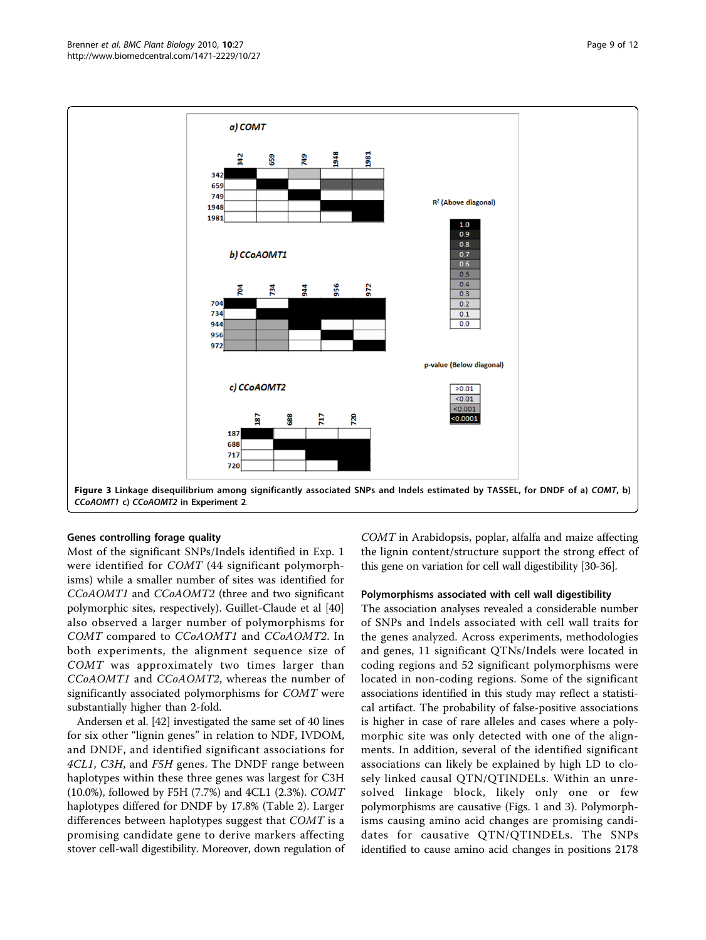

#### Genes controlling forage quality

Most of the significant SNPs/Indels identified in Exp. 1 were identified for COMT (44 significant polymorphisms) while a smaller number of sites was identified for CCoAOMT1 and CCoAOMT2 (three and two significant polymorphic sites, respectively). Guillet-Claude et al [[40](#page-10-0)] also observed a larger number of polymorphisms for COMT compared to CCoAOMT1 and CCoAOMT2. In both experiments, the alignment sequence size of COMT was approximately two times larger than CCoAOMT1 and CCoAOMT2, whereas the number of significantly associated polymorphisms for COMT were substantially higher than 2-fold.

Andersen et al. [\[42\]](#page-10-0) investigated the same set of 40 lines for six other "lignin genes" in relation to NDF, IVDOM, and DNDF, and identified significant associations for 4CL1, C3H, and F5H genes. The DNDF range between haplotypes within these three genes was largest for C3H (10.0%), followed by F5H (7.7%) and 4CL1 (2.3%). COMT haplotypes differed for DNDF by 17.8% (Table [2\)](#page-4-0). Larger differences between haplotypes suggest that COMT is a promising candidate gene to derive markers affecting stover cell-wall digestibility. Moreover, down regulation of COMT in Arabidopsis, poplar, alfalfa and maize affecting the lignin content/structure support the strong effect of this gene on variation for cell wall digestibility [\[30-36\]](#page-10-0).

#### Polymorphisms associated with cell wall digestibility

The association analyses revealed a considerable number of SNPs and Indels associated with cell wall traits for the genes analyzed. Across experiments, methodologies and genes, 11 significant QTNs/Indels were located in coding regions and 52 significant polymorphisms were located in non-coding regions. Some of the significant associations identified in this study may reflect a statistical artifact. The probability of false-positive associations is higher in case of rare alleles and cases where a polymorphic site was only detected with one of the alignments. In addition, several of the identified significant associations can likely be explained by high LD to closely linked causal QTN/QTINDELs. Within an unresolved linkage block, likely only one or few polymorphisms are causative (Figs. [1](#page-5-0) and 3). Polymorphisms causing amino acid changes are promising candidates for causative QTN/QTINDELs. The SNPs identified to cause amino acid changes in positions 2178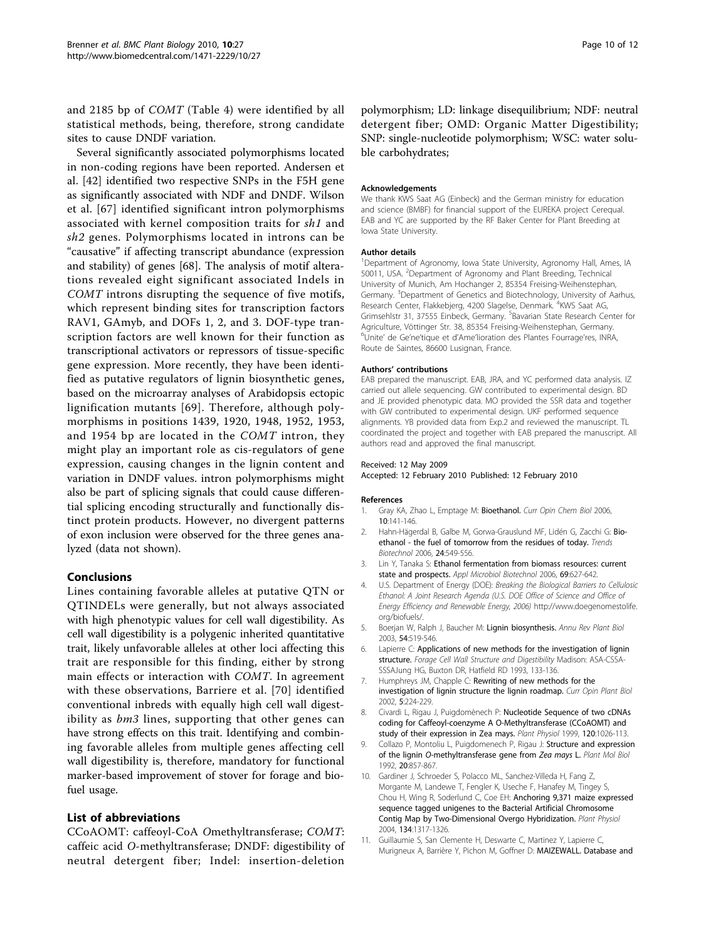<span id="page-9-0"></span>and 2185 bp of COMT (Table [4\)](#page-5-0) were identified by all statistical methods, being, therefore, strong candidate sites to cause DNDF variation.

Several significantly associated polymorphisms located in non-coding regions have been reported. Andersen et al. [[42\]](#page-10-0) identified two respective SNPs in the F5H gene as significantly associated with NDF and DNDF. Wilson et al. [[67](#page-11-0)] identified significant intron polymorphisms associated with kernel composition traits for sh1 and sh2 genes. Polymorphisms located in introns can be "causative" if affecting transcript abundance (expression and stability) of genes [\[68](#page-11-0)]. The analysis of motif alterations revealed eight significant associated Indels in COMT introns disrupting the sequence of five motifs, which represent binding sites for transcription factors RAV1, GAmyb, and DOFs 1, 2, and 3. DOF-type transcription factors are well known for their function as transcriptional activators or repressors of tissue-specific gene expression. More recently, they have been identified as putative regulators of lignin biosynthetic genes, based on the microarray analyses of Arabidopsis ectopic lignification mutants [[69\]](#page-11-0). Therefore, although polymorphisms in positions 1439, 1920, 1948, 1952, 1953, and 1954 bp are located in the COMT intron, they might play an important role as cis-regulators of gene expression, causing changes in the lignin content and variation in DNDF values. intron polymorphisms might also be part of splicing signals that could cause differential splicing encoding structurally and functionally distinct protein products. However, no divergent patterns of exon inclusion were observed for the three genes analyzed (data not shown).

## Conclusions

Lines containing favorable alleles at putative QTN or QTINDELs were generally, but not always associated with high phenotypic values for cell wall digestibility. As cell wall digestibility is a polygenic inherited quantitative trait, likely unfavorable alleles at other loci affecting this trait are responsible for this finding, either by strong main effects or interaction with COMT. In agreement with these observations, Barriere et al. [\[70\]](#page-11-0) identified conventional inbreds with equally high cell wall digestibility as *bm3* lines, supporting that other genes can have strong effects on this trait. Identifying and combining favorable alleles from multiple genes affecting cell wall digestibility is, therefore, mandatory for functional marker-based improvement of stover for forage and biofuel usage.

## List of abbreviations

CCoAOMT: caffeoyl-CoA Omethyltransferase; COMT: caffeic acid O-methyltransferase; DNDF: digestibility of neutral detergent fiber; Indel: insertion-deletion

polymorphism; LD: linkage disequilibrium; NDF: neutral detergent fiber; OMD: Organic Matter Digestibility; SNP: single-nucleotide polymorphism; WSC: water soluble carbohydrates;

#### Acknowledgements

We thank KWS Saat AG (Einbeck) and the German ministry for education and science (BMBF) for financial support of the EUREKA project Cerequal. EAB and YC are supported by the RF Baker Center for Plant Breeding at Iowa State University.

#### Author details

<sup>1</sup>Department of Agronomy, Iowa State University, Agronomy Hall, Ames, IA 50011, USA. <sup>2</sup>Department of Agronomy and Plant Breeding, Technical University of Munich, Am Hochanger 2, 85354 Freising-Weihenstephan, Germany. <sup>3</sup>Department of Genetics and Biotechnology, University of Aarhus,<br>Research Center, Flakkebjerg, 4200 Slagelse, Denmark. <sup>4</sup>KWS Saat AG, Grimsehlstr 31, 37555 Einbeck, Germany. <sup>5</sup>Bavarian State Research Center for Agriculture, Vöttinger Str. 38, 85354 Freising-Weihenstephan, Germany. 6 Unite' de Ge'ne'tique et d'Ame'lioration des Plantes Fourrage'res, INRA, Route de Saintes, 86600 Lusignan, France.

#### Authors' contributions

EAB prepared the manuscript. EAB, JRA, and YC performed data analysis. IZ carried out allele sequencing. GW contributed to experimental design. BD and JE provided phenotypic data. MO provided the SSR data and together with GW contributed to experimental design. UKF performed sequence alignments. YB provided data from Exp.2 and reviewed the manuscript. TL coordinated the project and together with EAB prepared the manuscript. All authors read and approved the final manuscript.

#### Received: 12 May 2009

Accepted: 12 February 2010 Published: 12 February 2010

#### References

- 1. Gray KA, Zhao L, Emptage M: [Bioethanol.](http://www.ncbi.nlm.nih.gov/pubmed/16522374?dopt=Abstract) Curr Opin Chem Biol 2006, 10:141-146.
- 2. Hahn-Hägerdal B, Galbe M, Gorwa-Grauslund MF, Lidén G, Zacchi G: [Bio](http://www.ncbi.nlm.nih.gov/pubmed/17050014?dopt=Abstract)[ethanol - the fuel of tomorrow from the residues of today.](http://www.ncbi.nlm.nih.gov/pubmed/17050014?dopt=Abstract) Trends Biotechnol 2006, 24:549-556.
- 3. Lin Y, Tanaka S: [Ethanol fermentation from biomass resources: current](http://www.ncbi.nlm.nih.gov/pubmed/16331454?dopt=Abstract) [state and prospects.](http://www.ncbi.nlm.nih.gov/pubmed/16331454?dopt=Abstract) Appl Microbiol Biotechnol 2006, 69:627-642.
- 4. U.S. Department of Energy (DOE): Breaking the Biological Barriers to Cellulosic Ethanol: A Joint Research Agenda (U.S. DOE Office of Science and Office of Energy Efficiency and Renewable Energy, 2006) [http://www.doegenomestolife.](http://www.doegenomestolife.org/biofuels/) [org/biofuels/](http://www.doegenomestolife.org/biofuels/).
- 5. Boerjan W, Ralph J, Baucher M: [Lignin biosynthesis.](http://www.ncbi.nlm.nih.gov/pubmed/14503002?dopt=Abstract) Annu Rev Plant Biol 2003, 54:519-546.
- 6. Lapierre C: Applications of new methods for the investigation of lignin structure. Forage Cell Wall Structure and Digestibility Madison: ASA-CSSA-SSSAJung HG, Buxton DR, Hatfield RD 1993, 133-136.
- 7. Humphreys JM, Chapple C: [Rewriting of new methods for the](http://www.ncbi.nlm.nih.gov/pubmed/11960740?dopt=Abstract) [investigation of lignin structure the lignin roadmap.](http://www.ncbi.nlm.nih.gov/pubmed/11960740?dopt=Abstract) Curr Opin Plant Biol 2002, 5:224-229.
- 8. Civardi L, Rigau J, Puigdomènech P: Nucleotide Sequence of two cDNAs coding for Caffeoyl-coenzyme A O-Methyltransferase (CCoAOMT) and study of their expression in Zea mays. Plant Physiol 1999, 120:1026-113.
- 9. Collazo P, Montoliu L, Puigdomenech P, Rigau J: [Structure and expression](http://www.ncbi.nlm.nih.gov/pubmed/1463825?dopt=Abstract) of the lignin O[-methyltransferase gene from](http://www.ncbi.nlm.nih.gov/pubmed/1463825?dopt=Abstract) Zea mays L. Plant Mol Biol 1992, 20:857-867.
- 10. Gardiner J, Schroeder S, Polacco ML, Sanchez-Villeda H, Fang Z, Morgante M, Landewe T, Fengler K, Useche F, Hanafey M, Tingey S, Chou H, Wing R, Soderlund C, Coe EH: [Anchoring 9,371 maize expressed](http://www.ncbi.nlm.nih.gov/pubmed/15020742?dopt=Abstract) [sequence tagged unigenes to the Bacterial Artificial Chromosome](http://www.ncbi.nlm.nih.gov/pubmed/15020742?dopt=Abstract) [Contig Map by Two-Dimensional Overgo Hybridization.](http://www.ncbi.nlm.nih.gov/pubmed/15020742?dopt=Abstract) Plant Physiol 2004, 134:1317-1326.
- 11. Guillaumie S, San Clemente H, Deswarte C, Martinez Y, Lapierre C, Murigneux A, Barrière Y, Pichon M, Goffner D: [MAIZEWALL. Database and](http://www.ncbi.nlm.nih.gov/pubmed/17098859?dopt=Abstract)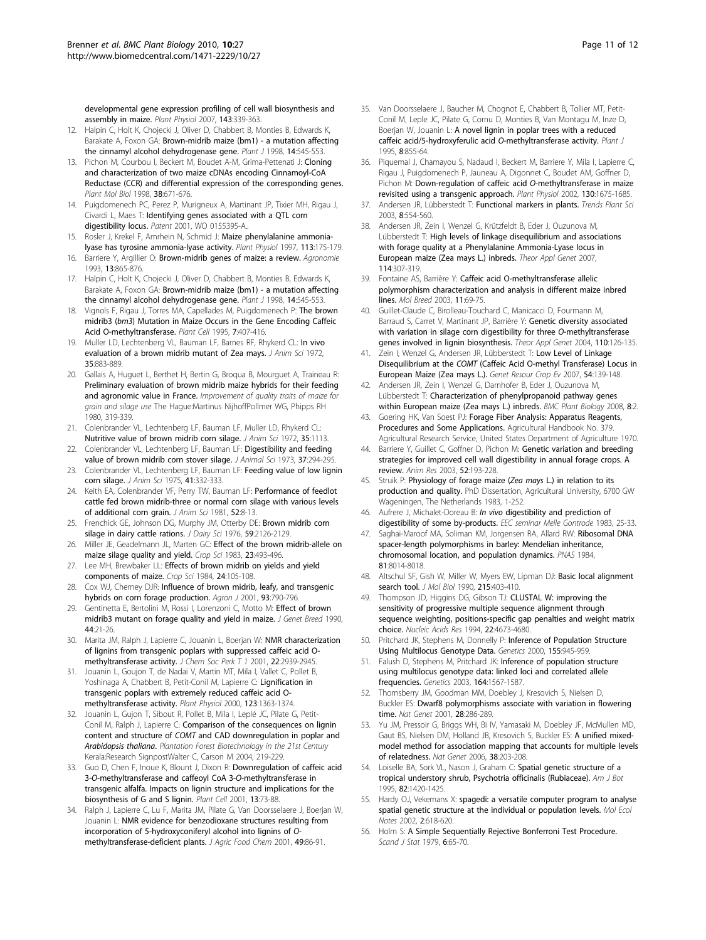<span id="page-10-0"></span>[developmental gene expression profiling of cell wall biosynthesis and](http://www.ncbi.nlm.nih.gov/pubmed/17098859?dopt=Abstract) [assembly in maize.](http://www.ncbi.nlm.nih.gov/pubmed/17098859?dopt=Abstract) Plant Physiol 2007, 143:339-363.

- 12. Halpin C, Holt K, Chojecki J, Oliver D, Chabbert B, Monties B, Edwards K, Barakate A, Foxon GA: [Brown-midrib maize \(bm1\) - a mutation affecting](http://www.ncbi.nlm.nih.gov/pubmed/9675900?dopt=Abstract) [the cinnamyl alcohol dehydrogenase gene.](http://www.ncbi.nlm.nih.gov/pubmed/9675900?dopt=Abstract) Plant J 1998, 14:545-553.
- 13. Pichon M, Courbou I, Beckert M, Boudet A-M, Grima-Pettenati J: [Cloning](http://www.ncbi.nlm.nih.gov/pubmed/9747812?dopt=Abstract) [and characterization of two maize cDNAs encoding Cinnamoyl-CoA](http://www.ncbi.nlm.nih.gov/pubmed/9747812?dopt=Abstract) [Reductase \(CCR\) and differential expression of the corresponding genes.](http://www.ncbi.nlm.nih.gov/pubmed/9747812?dopt=Abstract) Plant Mol Biol 1998, 38:671-676.
- 14. Puigdomenech PC, Perez P, Murigneux A, Martinant JP, Tixier MH, Rigau J, Civardi L, Maes T: Identifying genes associated with a QTL corn digestibility locus. Patent 2001, WO 0155395-A..
- 15. Rosler J, Krekel F, Amrhein N, Schmid J: [Maize phenylalanine ammonia](http://www.ncbi.nlm.nih.gov/pubmed/9008393?dopt=Abstract)[lyase has tyrosine ammonia-lyase activity.](http://www.ncbi.nlm.nih.gov/pubmed/9008393?dopt=Abstract) Plant Physiol 1997, 113:175-179.
- 16. Barriere Y, Argillier O: Brown-midrib genes of maize: a review. Agronomie 1993, 13:865-876.
- 17. Halpin C, Holt K, Chojecki J, Oliver D, Chabbert B, Monties B, Edwards K, Barakate A, Foxon GA: [Brown-midrib maize \(bm1\) - a mutation affecting](http://www.ncbi.nlm.nih.gov/pubmed/9675900?dopt=Abstract) [the cinnamyl alcohol dehydrogenase gene.](http://www.ncbi.nlm.nih.gov/pubmed/9675900?dopt=Abstract) Plant J 1998, 14:545-553.
- 18. Vignols F, Rigau J, Torres MA, Capellades M, Puigdomenech P: [The brown](http://www.ncbi.nlm.nih.gov/pubmed/7773015?dopt=Abstract) midrib3 (bm3[\) Mutation in Maize Occurs in the Gene Encoding Caffeic](http://www.ncbi.nlm.nih.gov/pubmed/7773015?dopt=Abstract) [Acid O-methyltransferase.](http://www.ncbi.nlm.nih.gov/pubmed/7773015?dopt=Abstract) Plant Cell 1995, 7:407-416.
- 19. Muller LD, Lechtenberg VL, Bauman LF, Barnes RF, Rhykerd CL: In vivo evaluation of a brown midrib mutant of Zea mays. J Anim Sci 1972, 35:883-889.
- 20. Gallais A, Huguet L, Berthet H, Bertin G, Broqua B, Mourguet A, Traineau R: Preliminary evaluation of brown midrib maize hybrids for their feeding and agronomic value in France. Improvement of quality traits of maize for grain and silage use The Hague:Martinus NijhoffPollmer WG, Phipps RH 1980, 319-339.
- 21. Colenbrander VL, Lechtenberg LF, Bauman LF, Muller LD, Rhykerd CL: Nutritive value of brown midrib corn silage. J Anim Sci 1972, 35:1113.
- 22. Colenbrander VL, Lechtenberg LF, Bauman LF: Digestibility and feeding value of brown midrib corn stover silage. J Animal Sci 1973, 37:294-295.
- 23. Colenbrander VL, Lechtenberg LF, Bauman LF: Feeding value of low lignin corn silage. J Anim Sci 1975, 41:332-333.
- 24. Keith EA, Colenbrander VF, Perry TW, Bauman LF: Performance of feedlot cattle fed brown midrib-three or normal corn silage with various levels of additional corn grain. J Anim Sci 1981, 52:8-13.
- 25. Frenchick GE, Johnson DG, Murphy JM, Otterby DE: Brown midrib corn silage in dairy cattle rations. J Dairy Sci 1976, 59:2126-2129.
- 26. Miller JE, Geadelmann JL, Marten GC: Effect of the brown midrib-allele on maize silage quality and yield. Crop Sci 1983, 23:493-496.
- 27. Lee MH, Brewbaker LL: Effects of brown midrib on yields and yield components of maize. Crop Sci 1984, 24:105-108.
- 28. Cox WJ, Cherney DJR: Influence of brown midrib, leafy, and transgenic hybrids on corn forage production. Agron J 2001, 93:790-796.
- 29. Gentinetta E, Bertolini M, Rossi I, Lorenzoni C, Motto M: Effect of brown midrib3 mutant on forage quality and yield in maize. J Genet Breed 1990, 44:21-26.
- 30. Marita JM, Ralph J, Lapierre C, Jouanin L, Boerjan W: NMR characterization of lignins from transgenic poplars with suppressed caffeic acid Omethyltransferase activity. J Chem Soc Perk T 1 2001, 22:2939-2945.
- 31. Jouanin L, Goujon T, de Nadai V, Martin MT, Mila I, Vallet C, Pollet B, Yoshinaga A, Chabbert B, Petit-Conil M, Lapierre C: [Lignification in](http://www.ncbi.nlm.nih.gov/pubmed/10938354?dopt=Abstract) [transgenic poplars with extremely reduced caffeic acid O](http://www.ncbi.nlm.nih.gov/pubmed/10938354?dopt=Abstract)[methyltransferase activity.](http://www.ncbi.nlm.nih.gov/pubmed/10938354?dopt=Abstract) Plant Physiol 2000, 123:1363-1374.
- 32. Jouanin L, Gujon T, Sibout R, Pollet B, Mila I, Leplé JC, Pilate G, Petit-Conil M, Ralph J, Lapierre C: Comparison of the consequences on lignin content and structure of COMT and CAD downregulation in poplar and Arabidopsis thaliana. Plantation Forest Biotechnology in the 21st Century Kerala:Research SignpostWalter C, Carson M 2004, 219-229.
- 33. Guo D, Chen F, Inoue K, Blount J, Dixon R: [Downregulation of caffeic acid](http://www.ncbi.nlm.nih.gov/pubmed/11158530?dopt=Abstract) 3-O[-methyltransferase and caffeoyl CoA 3-](http://www.ncbi.nlm.nih.gov/pubmed/11158530?dopt=Abstract)O-methyltransferase in [transgenic alfalfa. Impacts on lignin structure and implications for the](http://www.ncbi.nlm.nih.gov/pubmed/11158530?dopt=Abstract) [biosynthesis of G and S lignin.](http://www.ncbi.nlm.nih.gov/pubmed/11158530?dopt=Abstract) Plant Cell 2001, 13:73-88.
- 34. Ralph J, Lapierre C, Lu F, Marita JM, Pilate G, Van Doorsselaere J, Boerjan W, Jouanin L: [NMR evidence for benzodioxane structures resulting from](http://www.ncbi.nlm.nih.gov/pubmed/11302112?dopt=Abstract) [incorporation of 5-hydroxyconiferyl alcohol into lignins of](http://www.ncbi.nlm.nih.gov/pubmed/11302112?dopt=Abstract) O[methyltransferase-deficient plants.](http://www.ncbi.nlm.nih.gov/pubmed/11302112?dopt=Abstract) J Agric Food Chem 2001, 49:86-91.
- 35. Van Doorsselaere J, Baucher M, Chognot E, Chabbert B, Tollier MT, Petit-Conil M, Leple JC, Pilate G, Cornu D, Monties B, Van Montagu M, Inze D, Boerjan W, Jouanin L: A novel lignin in poplar trees with a reduced caffeic acid/5-hydroxyferulic acid O-methyltransferase activity. Plant J 1995, 8:855-64.
- 36. Piquemal J, Chamayou S, Nadaud I, Beckert M, Barriere Y, Mila I, Lapierre C, Rigau J, Puigdomenech P, Jauneau A, Digonnet C, Boudet AM, Goffner D, Pichon M: [Down-regulation of caffeic acid](http://www.ncbi.nlm.nih.gov/pubmed/12481050?dopt=Abstract) O-methyltransferase in maize [revisited using a transgenic approach.](http://www.ncbi.nlm.nih.gov/pubmed/12481050?dopt=Abstract) Plant Physiol 2002, 130:1675-1685.
- 37. Andersen JR, Lübberstedt T: [Functional markers in plants.](http://www.ncbi.nlm.nih.gov/pubmed/14607101?dopt=Abstract) Trends Plant Sci 2003, 8:554-560.
- 38. Andersen JR, Zein I, Wenzel G, Krützfeldt B, Eder J, Ouzunova M, Lübberstedt T: [High levels of linkage disequilibrium and associations](http://www.ncbi.nlm.nih.gov/pubmed/17123062?dopt=Abstract) [with forage quality at a Phenylalanine Ammonia-Lyase locus in](http://www.ncbi.nlm.nih.gov/pubmed/17123062?dopt=Abstract) [European maize \(Zea mays L.\) inbreds.](http://www.ncbi.nlm.nih.gov/pubmed/17123062?dopt=Abstract) Theor Appl Genet 2007, 114:307-319.
- 39. Fontaine AS, Barrière Y: Caffeic acid O-methyltransferase allelic polymorphism characterization and analysis in different maize inbred lines. Mol Breed 2003, 11:69-75.
- 40. Guillet-Claude C, Birolleau-Touchard C, Manicacci D, Fourmann M, Barraud S, Carret V, Martinant JP, Barrière Y: [Genetic diversity associated](http://www.ncbi.nlm.nih.gov/pubmed/15536523?dopt=Abstract) [with variation in silage corn digestibility for three](http://www.ncbi.nlm.nih.gov/pubmed/15536523?dopt=Abstract) O-methyltransferase [genes involved in lignin biosynthesis.](http://www.ncbi.nlm.nih.gov/pubmed/15536523?dopt=Abstract) Theor Appl Genet 2004, 110:126-135.
- 41. Zein I, Wenzel G, Andersen JR, Lübberstedt T: Low Level of Linkage Disequilibrium at the COMT (Caffeic Acid O-methyl Transferase) Locus in European Maize (Zea mays L.). Genet Resour Crop Ev 2007, 54:139-148.
- Andersen JR, Zein I, Wenzel G, Darnhofer B, Eder J, Ouzunova M, Lübberstedt T: [Characterization of phenylpropanoid pathway genes](http://www.ncbi.nlm.nih.gov/pubmed/18173847?dopt=Abstract) [within European maize \(Zea mays L.\) inbreds.](http://www.ncbi.nlm.nih.gov/pubmed/18173847?dopt=Abstract) BMC Plant Biology 2008, 8:2.
- 43. Goering HK, Van Soest PJ: Forage Fiber Analysis: Apparatus Reagents, Procedures and Some Applications. Agricultural Handbook No. 379. Agricultural Research Service, United States Department of Agriculture 1970.
- 44. Barriere Y, Guillet C, Goffner D, Pichon M: Genetic variation and breeding strategies for improved cell wall digestibility in annual forage crops. A review. Anim Res 2003, 52:193-228.
- 45. Struik P: Physiology of forage maize (Zea mays L.) in relation to its production and quality. PhD Dissertation, Agricultural University, 6700 GW Wageningen, The Netherlands 1983, 1-252.
- 46. Aufrere J, Michalet-Doreau B: In vivo digestibility and prediction of digestibility of some by-products. EEC seminar Melle Gontrode 1983, 25-33.
- 47. Saghai-Maroof MA, Soliman KM, Jorgensen RA, Allard RW: [Ribosomal DNA](http://www.ncbi.nlm.nih.gov/pubmed/6096873?dopt=Abstract) [spacer-length polymorphisms in barley: Mendelian inheritance,](http://www.ncbi.nlm.nih.gov/pubmed/6096873?dopt=Abstract) [chromosomal location, and population dynamics.](http://www.ncbi.nlm.nih.gov/pubmed/6096873?dopt=Abstract) PNAS 1984, 81:8014-8018.
- 48. Altschul SF, Gish W, Miller W, Myers EW, Lipman DJ: [Basic local alignment](http://www.ncbi.nlm.nih.gov/pubmed/2231712?dopt=Abstract) [search tool.](http://www.ncbi.nlm.nih.gov/pubmed/2231712?dopt=Abstract) *J Mol Biol* 1990, 215:403-410.
- 49. Thompson JD, Higgins DG, Gibson TJ: [CLUSTAL W: improving the](http://www.ncbi.nlm.nih.gov/pubmed/7984417?dopt=Abstract) [sensitivity of progressive multiple sequence alignment through](http://www.ncbi.nlm.nih.gov/pubmed/7984417?dopt=Abstract) [sequence weighting, positions-specific gap penalties and weight matrix](http://www.ncbi.nlm.nih.gov/pubmed/7984417?dopt=Abstract) [choice.](http://www.ncbi.nlm.nih.gov/pubmed/7984417?dopt=Abstract) Nucleic Acids Res 1994, 22:4673-4680.
- 50. Pritchard JK, Stephens M, Donnelly P: [Inference of Population Structure](http://www.ncbi.nlm.nih.gov/pubmed/10835412?dopt=Abstract) [Using Multilocus Genotype Data.](http://www.ncbi.nlm.nih.gov/pubmed/10835412?dopt=Abstract) Genetics 2000, 155:945-959.
- 51. Falush D, Stephens M, Pritchard JK: [Inference of population structure](http://www.ncbi.nlm.nih.gov/pubmed/12930761?dopt=Abstract) [using multilocus genotype data: linked loci and correlated allele](http://www.ncbi.nlm.nih.gov/pubmed/12930761?dopt=Abstract) [frequencies.](http://www.ncbi.nlm.nih.gov/pubmed/12930761?dopt=Abstract) Genetics 2003, 164:1567-1587.
- 52. Thornsberry JM, Goodman MM, Doebley J, Kresovich S, Nielsen D, Buckler ES: [Dwarf8 polymorphisms associate with variation in flowering](http://www.ncbi.nlm.nih.gov/pubmed/11431702?dopt=Abstract) [time.](http://www.ncbi.nlm.nih.gov/pubmed/11431702?dopt=Abstract) Nat Genet 2001, 28:286-289.
- 53. Yu JM, Pressoir G, Briggs WH, Bi IV, Yamasaki M, Doebley JF, McMullen MD, Gaut BS, Nielsen DM, Holland JB, Kresovich S, Buckler ES: [A unified mixed](http://www.ncbi.nlm.nih.gov/pubmed/16380716?dopt=Abstract)[model method for association mapping that accounts for multiple levels](http://www.ncbi.nlm.nih.gov/pubmed/16380716?dopt=Abstract) [of relatedness.](http://www.ncbi.nlm.nih.gov/pubmed/16380716?dopt=Abstract) Nat Genet 2006, 38:203-208.
- 54. Loiselle BA, Sork VL, Nason J, Graham C: Spatial genetic structure of a tropical understory shrub, Psychotria officinalis (Rubiaceae). Am J Bot 1995, 82:1420-1425.
- 55. Hardy OJ, Vekemans X: spagedi: a versatile computer program to analyse spatial genetic structure at the individual or population levels. Mol Ecol Notes 2002, 2:618-620.
- 56. Holm S: A Simple Sequentially Rejective Bonferroni Test Procedure. Scand J Stat 1979, 6:65-70.